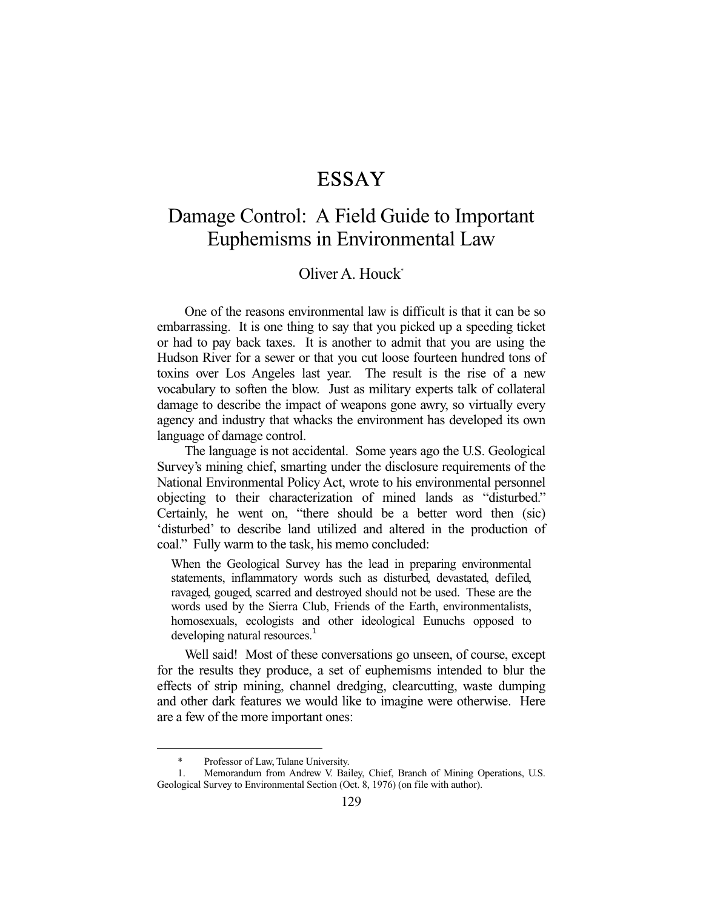## ESSAY

## Damage Control: A Field Guide to Important Euphemisms in Environmental Law

## Oliver A. Houck\*

 One of the reasons environmental law is difficult is that it can be so embarrassing. It is one thing to say that you picked up a speeding ticket or had to pay back taxes. It is another to admit that you are using the Hudson River for a sewer or that you cut loose fourteen hundred tons of toxins over Los Angeles last year. The result is the rise of a new vocabulary to soften the blow. Just as military experts talk of collateral damage to describe the impact of weapons gone awry, so virtually every agency and industry that whacks the environment has developed its own language of damage control.

 The language is not accidental. Some years ago the U.S. Geological Survey's mining chief, smarting under the disclosure requirements of the National Environmental Policy Act, wrote to his environmental personnel objecting to their characterization of mined lands as "disturbed." Certainly, he went on, "there should be a better word then (sic) 'disturbed' to describe land utilized and altered in the production of coal." Fully warm to the task, his memo concluded:

When the Geological Survey has the lead in preparing environmental statements, inflammatory words such as disturbed, devastated, defiled, ravaged, gouged, scarred and destroyed should not be used. These are the words used by the Sierra Club, Friends of the Earth, environmentalists, homosexuals, ecologists and other ideological Eunuchs opposed to developing natural resources.<sup>1</sup>

 Well said! Most of these conversations go unseen, of course, except for the results they produce, a set of euphemisms intended to blur the effects of strip mining, channel dredging, clearcutting, waste dumping and other dark features we would like to imagine were otherwise. Here are a few of the more important ones:

-

 <sup>\*</sup> Professor of Law, Tulane University.

 <sup>1.</sup> Memorandum from Andrew V. Bailey, Chief, Branch of Mining Operations, U.S. Geological Survey to Environmental Section (Oct. 8, 1976) (on file with author).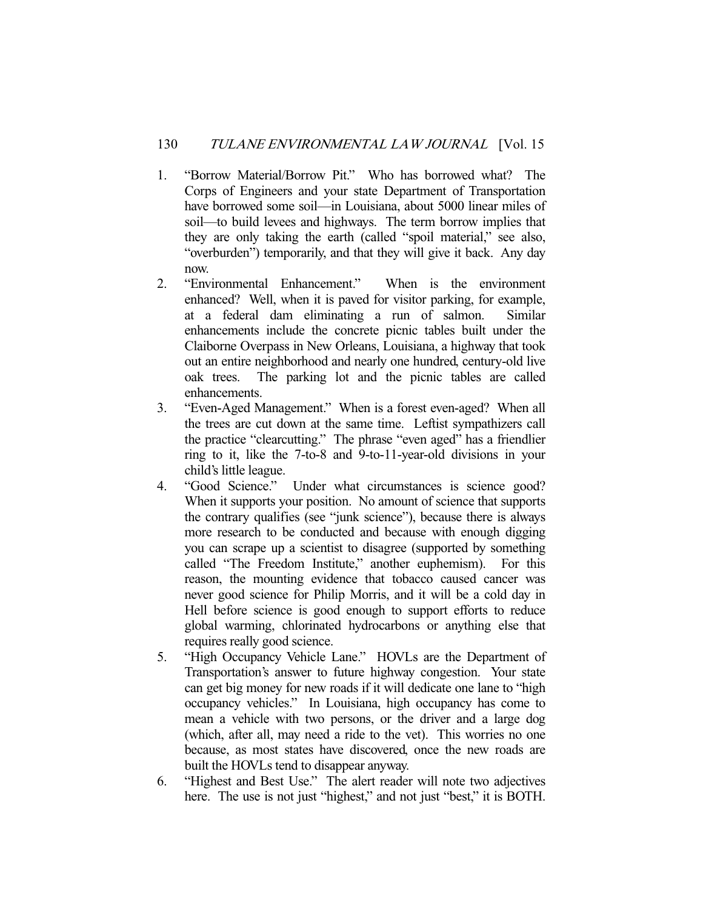- 1. "Borrow Material/Borrow Pit." Who has borrowed what? The Corps of Engineers and your state Department of Transportation have borrowed some soil—in Louisiana, about 5000 linear miles of soil—to build levees and highways. The term borrow implies that they are only taking the earth (called "spoil material," see also, "overburden") temporarily, and that they will give it back. Any day now.
- 2. "Environmental Enhancement." When is the environment enhanced? Well, when it is paved for visitor parking, for example, at a federal dam eliminating a run of salmon. Similar enhancements include the concrete picnic tables built under the Claiborne Overpass in New Orleans, Louisiana, a highway that took out an entire neighborhood and nearly one hundred, century-old live oak trees. The parking lot and the picnic tables are called enhancements.
- 3. "Even-Aged Management." When is a forest even-aged? When all the trees are cut down at the same time. Leftist sympathizers call the practice "clearcutting." The phrase "even aged" has a friendlier ring to it, like the 7-to-8 and 9-to-11-year-old divisions in your child's little league.
- 4. "Good Science." Under what circumstances is science good? When it supports your position. No amount of science that supports the contrary qualifies (see "junk science"), because there is always more research to be conducted and because with enough digging you can scrape up a scientist to disagree (supported by something called "The Freedom Institute," another euphemism). For this reason, the mounting evidence that tobacco caused cancer was never good science for Philip Morris, and it will be a cold day in Hell before science is good enough to support efforts to reduce global warming, chlorinated hydrocarbons or anything else that requires really good science.
- 5. "High Occupancy Vehicle Lane." HOVLs are the Department of Transportation's answer to future highway congestion. Your state can get big money for new roads if it will dedicate one lane to "high occupancy vehicles." In Louisiana, high occupancy has come to mean a vehicle with two persons, or the driver and a large dog (which, after all, may need a ride to the vet). This worries no one because, as most states have discovered, once the new roads are built the HOVLs tend to disappear anyway.
- 6. "Highest and Best Use." The alert reader will note two adjectives here. The use is not just "highest," and not just "best," it is BOTH.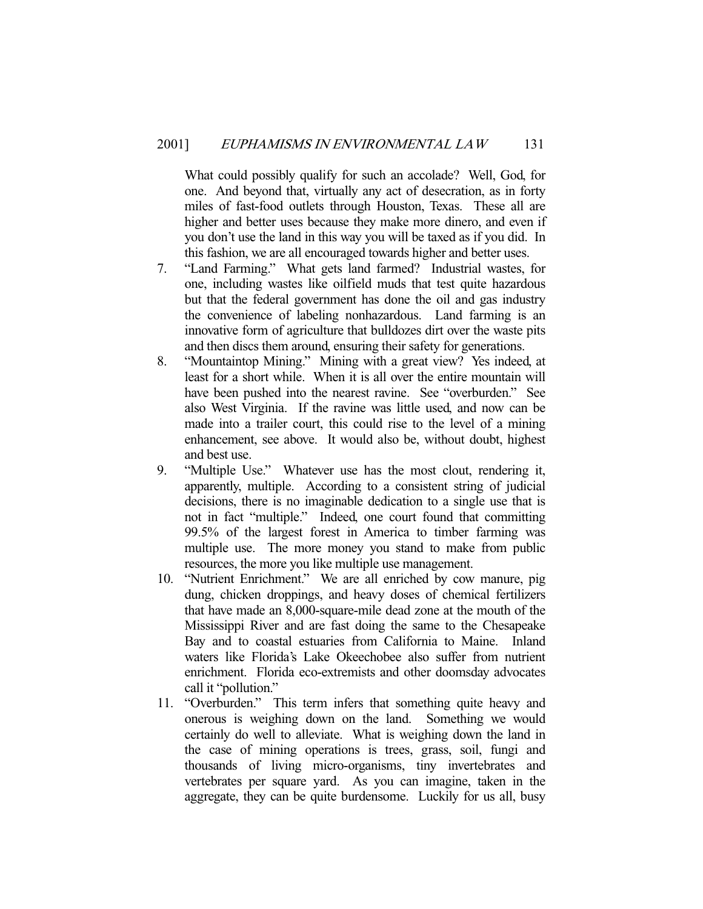What could possibly qualify for such an accolade? Well, God, for one. And beyond that, virtually any act of desecration, as in forty miles of fast-food outlets through Houston, Texas. These all are higher and better uses because they make more dinero, and even if you don't use the land in this way you will be taxed as if you did. In this fashion, we are all encouraged towards higher and better uses.

- 7. "Land Farming." What gets land farmed? Industrial wastes, for one, including wastes like oilfield muds that test quite hazardous but that the federal government has done the oil and gas industry the convenience of labeling nonhazardous. Land farming is an innovative form of agriculture that bulldozes dirt over the waste pits and then discs them around, ensuring their safety for generations.
- 8. "Mountaintop Mining." Mining with a great view? Yes indeed, at least for a short while. When it is all over the entire mountain will have been pushed into the nearest ravine. See "overburden." See also West Virginia. If the ravine was little used, and now can be made into a trailer court, this could rise to the level of a mining enhancement, see above. It would also be, without doubt, highest and best use.
- 9. "Multiple Use." Whatever use has the most clout, rendering it, apparently, multiple. According to a consistent string of judicial decisions, there is no imaginable dedication to a single use that is not in fact "multiple." Indeed, one court found that committing 99.5% of the largest forest in America to timber farming was multiple use. The more money you stand to make from public resources, the more you like multiple use management.
- 10. "Nutrient Enrichment." We are all enriched by cow manure, pig dung, chicken droppings, and heavy doses of chemical fertilizers that have made an 8,000-square-mile dead zone at the mouth of the Mississippi River and are fast doing the same to the Chesapeake Bay and to coastal estuaries from California to Maine. Inland waters like Florida's Lake Okeechobee also suffer from nutrient enrichment. Florida eco-extremists and other doomsday advocates call it "pollution."
- 11. "Overburden." This term infers that something quite heavy and onerous is weighing down on the land. Something we would certainly do well to alleviate. What is weighing down the land in the case of mining operations is trees, grass, soil, fungi and thousands of living micro-organisms, tiny invertebrates and vertebrates per square yard. As you can imagine, taken in the aggregate, they can be quite burdensome. Luckily for us all, busy